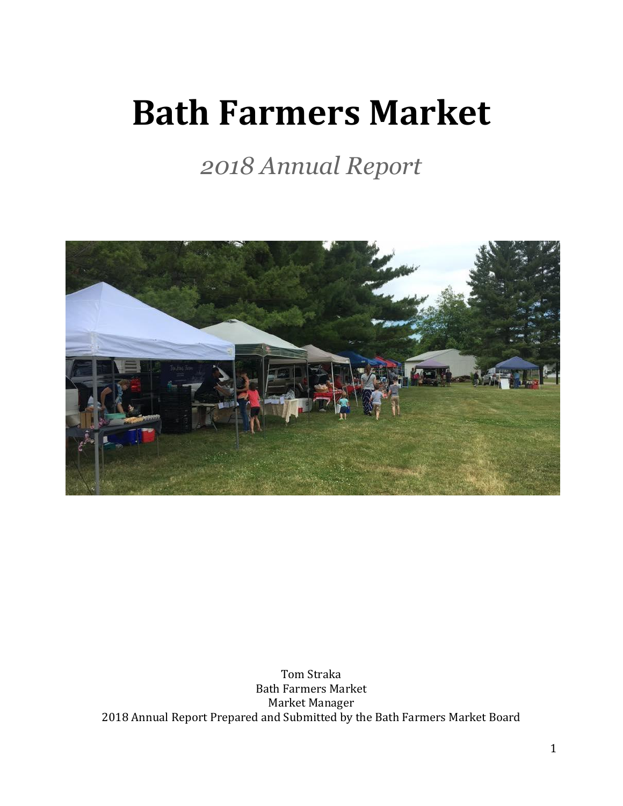# **Bath Farmers Market**

*2018 Annual Report*



Tom Straka Bath Farmers Market Market Manager 2018 Annual Report Prepared and Submitted by the Bath Farmers Market Board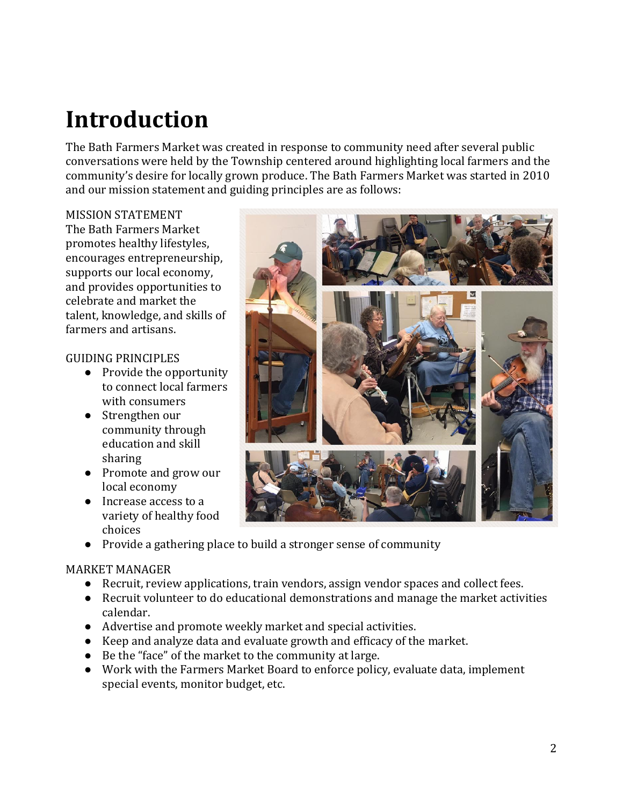## **Introduction**

The Bath Farmers Market was created in response to community need after several public conversations were held by the Township centered around highlighting local farmers and the community's desire for locally grown produce. The Bath Farmers Market was started in 2010 and our mission statement and guiding principles are as follows:

#### MISSION STATEMENT

The Bath Farmers Market promotes healthy lifestyles, encourages entrepreneurship, supports our local economy, and provides opportunities to celebrate and market the talent, knowledge, and skills of farmers and artisans.

#### GUIDING PRINCIPLES

- Provide the opportunity to connect local farmers with consumers
- Strengthen our community through education and skill sharing
- Promote and grow our local economy
- Increase access to a variety of healthy food choices
- 
- Provide a gathering place to build a stronger sense of community

#### MARKET MANAGER

- Recruit, review applications, train vendors, assign vendor spaces and collect fees.
- Recruit volunteer to do educational demonstrations and manage the market activities calendar.
- Advertise and promote weekly market and special activities.
- Keep and analyze data and evaluate growth and efficacy of the market.
- Be the "face" of the market to the community at large.
- Work with the Farmers Market Board to enforce policy, evaluate data, implement special events, monitor budget, etc.

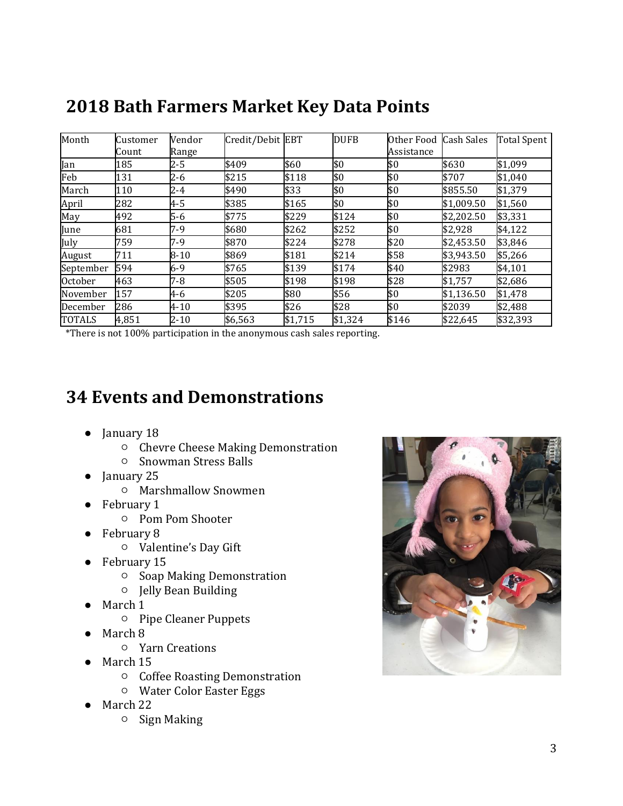| Month         | Customer<br>Count | Vendor<br>Range | Credit/Debit EBT |         | <b>DUFB</b> | Other Food<br>Assistance | <b>Cash Sales</b> | <b>Total Spent</b> |
|---------------|-------------------|-----------------|------------------|---------|-------------|--------------------------|-------------------|--------------------|
| Jan           | 185               | $2 - 5$         | \$409            | \$60    | \$0         | \$0                      | \$630             | \$1,099            |
| Feb           | 131               | $2 - 6$         | \$215            | \$118   | \$0         | \$0                      | \$707             | \$1,040            |
| March         | 110               | $2 - 4$         | \$490            | \$33    | \$0         | \$0                      | \$855.50          | \$1,379            |
| April         | 282               | 4-5             | \$385            | \$165   | \$0         | \$0                      | \$1,009.50        | \$1,560            |
| May           | 492               | $5-6$           | \$775            | \$229   | \$124       | \$0                      | \$2,202.50        | \$3,331            |
| June          | 681               | 7-9             | \$680            | \$262   | \$252       | \$0                      | \$2,928           | \$4,122            |
| July          | 759               | 7-9             | \$870            | \$224   | \$278       | \$20                     | \$2,453.50        | \$3,846            |
| August        | 711               | $8 - 10$        | \$869            | \$181   | \$214       | \$58                     | \$3,943.50        | \$5,266            |
| September     | 594               | 6-9             | \$765            | \$139   | \$174       | \$40                     | \$2983            | \$4,101            |
| October       | 463               | $7 - 8$         | \$505            | \$198   | \$198       | \$28                     | \$1,757           | \$2,686            |
| November      | 157               | 4-6             | \$205            | \$80    | \$56        | \$0                      | \$1,136.50        | \$1,478            |
| December      | 286               | $4 - 10$        | \$395            | \$26    | \$28        | \$0                      | \$2039            | \$2,488            |
| <b>TOTALS</b> | 4,851             | $2 - 10$        | \$6,563          | \$1,715 | \$1,324     | \$146                    | \$22,645          | \$32,393           |

#### **2018 Bath Farmers Market Key Data Points**

\*There is not 100% participation in the anonymous cash sales reporting.

#### **34 Events and Demonstrations**

- January 18
	- Chevre Cheese Making Demonstration
	- Snowman Stress Balls
- January 25
	- Marshmallow Snowmen
- February 1
	- Pom Pom Shooter
- February 8
	- Valentine's Day Gift
- February 15
	- Soap Making Demonstration
	- Jelly Bean Building
- March 1
	- Pipe Cleaner Puppets
- March 8
	- Yarn Creations
- March 15
	- Coffee Roasting Demonstration
	- Water Color Easter Eggs
- March 22
	- Sign Making

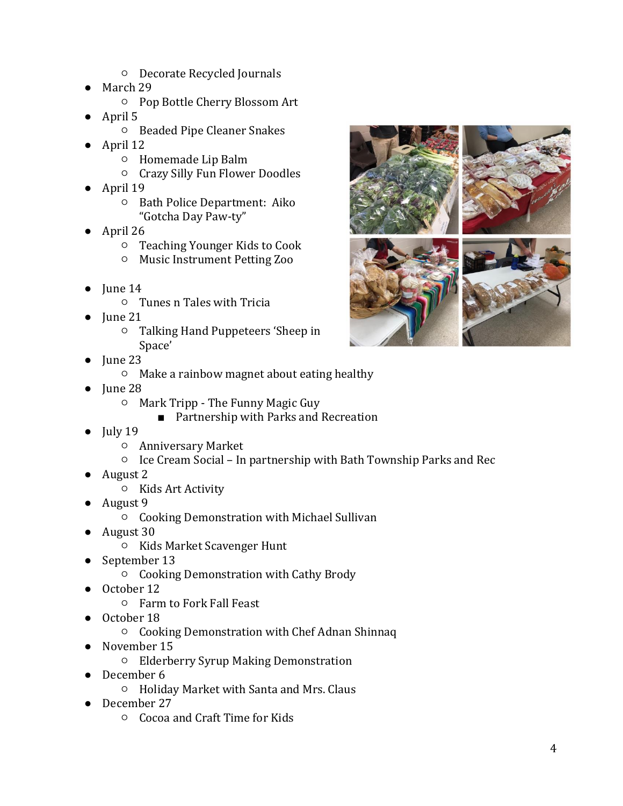- Decorate Recycled Journals
- March 29
	- Pop Bottle Cherry Blossom Art
- April 5
	- Beaded Pipe Cleaner Snakes
- April 12
	- Homemade Lip Balm
	- Crazy Silly Fun Flower Doodles
- April 19
	- Bath Police Department: Aiko "Gotcha Day Paw-ty"
- April 26
	- Teaching Younger Kids to Cook
	- Music Instrument Petting Zoo
- $\bullet$  June 14
	- Tunes n Tales with Tricia
- $\bullet$  June 21
	- Talking Hand Puppeteers 'Sheep in Space'
- Iune 23
	- Make a rainbow magnet about eating healthy
- June 28
	- Mark Tripp The Funny Magic Guy
		- Partnership with Parks and Recreation
- $\bullet$  July 19
	- Anniversary Market
	- Ice Cream Social In partnership with Bath Township Parks and Rec
- August 2
	- Kids Art Activity
- August 9
	- Cooking Demonstration with Michael Sullivan
- August 30
	- Kids Market Scavenger Hunt
- September 13
	- Cooking Demonstration with Cathy Brody
- October 12
	- Farm to Fork Fall Feast
- October 18
	- Cooking Demonstration with Chef Adnan Shinnaq
- November 15
	- Elderberry Syrup Making Demonstration
- December 6
	- Holiday Market with Santa and Mrs. Claus
- December 27
	- Cocoa and Craft Time for Kids

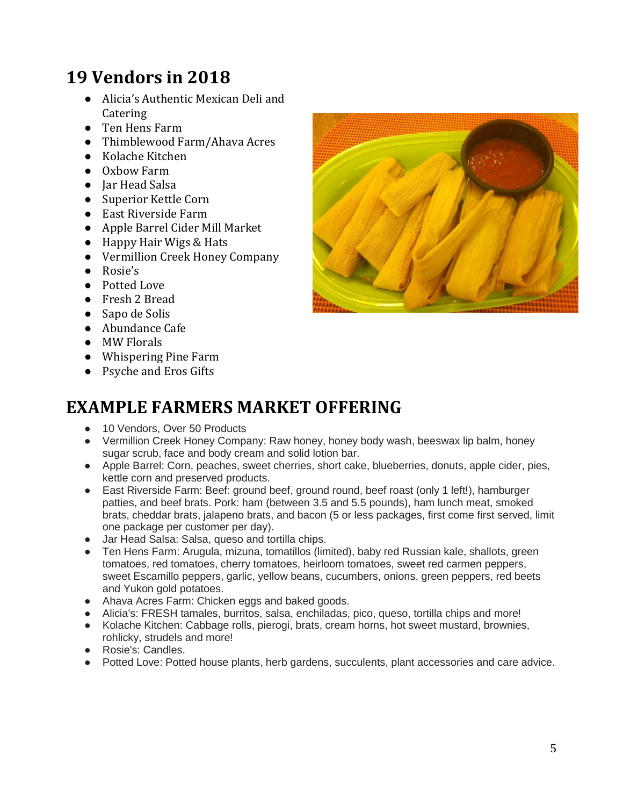## **19 Vendors in 2018**

- Alicia's Authentic Mexican Deli and **Catering**
- Ten Hens Farm
- Thimblewood Farm/Ahava Acres
- Kolache Kitchen
- Oxbow Farm
- **Jar Head Salsa**
- Superior Kettle Corn
- East Riverside Farm
- Apple Barrel Cider Mill Market
- Happy Hair Wigs & Hats
- Vermillion Creek Honey Company
- Rosie's
- Potted Love
- Fresh 2 Bread
- Sapo de Solis
- Abundance Cafe
- MW Florals
- Whispering Pine Farm
- Psyche and Eros Gifts

#### **EXAMPLE FARMERS MARKET OFFERING**

- 10 Vendors, Over 50 Products
- Vermillion Creek Honey Company: Raw honey, honey body wash, beeswax lip balm, honey sugar scrub, face and body cream and solid lotion bar.
- Apple Barrel: Corn, peaches, sweet cherries, short cake, blueberries, donuts, apple cider, pies, kettle corn and preserved products.
- East Riverside Farm: Beef: ground beef, ground round, beef roast (only 1 left!), hamburger patties, and beef brats. Pork: ham (between 3.5 and 5.5 pounds), ham lunch meat, smoked brats, cheddar brats, jalapeno brats, and bacon (5 or less packages, first come first served, limit one package per customer per day).
- Jar Head Salsa: Salsa, queso and tortilla chips.
- Ten Hens Farm: Arugula, mizuna, tomatillos (limited), baby red Russian kale, shallots, green tomatoes, red tomatoes, cherry tomatoes, heirloom tomatoes, sweet red carmen peppers, sweet Escamillo peppers, garlic, yellow beans, cucumbers, onions, green peppers, red beets and Yukon gold potatoes.
- Ahava Acres Farm: Chicken eggs and baked goods.
- Alicia's: FRESH tamales, burritos, salsa, enchiladas, pico, queso, tortilla chips and more!
- Kolache Kitchen: Cabbage rolls, pierogi, brats, cream horns, hot sweet mustard, brownies, rohlicky, strudels and more!
- Rosie's: Candles.
- Potted Love: Potted house plants, herb gardens, succulents, plant accessories and care advice.